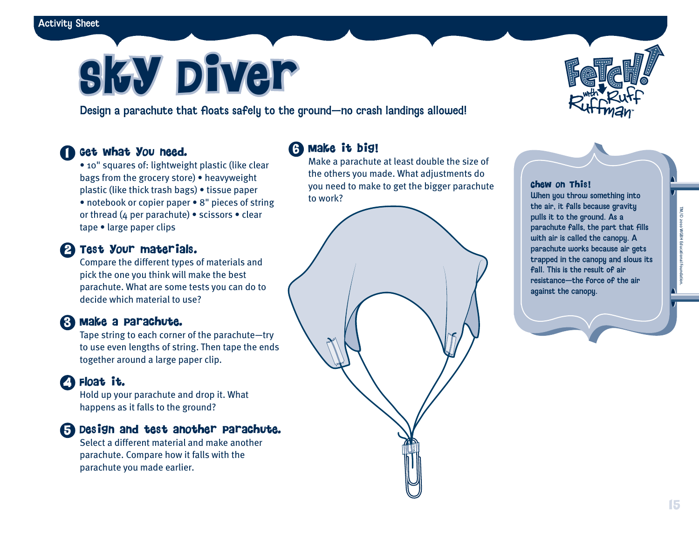# **Sky Diver**

Design a parachute that floats safely to the ground—no crash landings allowed!

#### Get what you need. 1

• 10" squares of: lightweight plastic (like clear bags from the grocery store) • heavyweight plastic (like thick trash bags) • tissue paper • notebook or copier paper • 8" pieces of string or thread (4 per parachute) • scissors • clear tape • large paper clips

#### Test your materials. 2

Compare the different types of materials and pick the one you think will make the best parachute. What are some tests you can do to decide which material to use?

#### Make a parachute. 3

Tape string to each corner of the parachute—try to use even lengths of string. Then tape the ends together around a large paper clip.

### Float it. 4

Hold up your parachute and drop it. What happens as it falls to the ground?

#### Design and test another parachute. 5

Select a different material and make another parachute. Compare how it falls with the parachute you made earlier.

### Make it big! 6

Make a parachute at least double the size of the others you made. What adjustments do you need to make to get the bigger parachute to work?

Chew on This!

When you throw something into the air, it falls because gravity pulls it to the ground. As a parachute falls, the part that fills with air is called the canopy. A parachute works because air gets trapped in the canopy and slows its fall. This is the result of air resistance—the force of the air against the canopy.